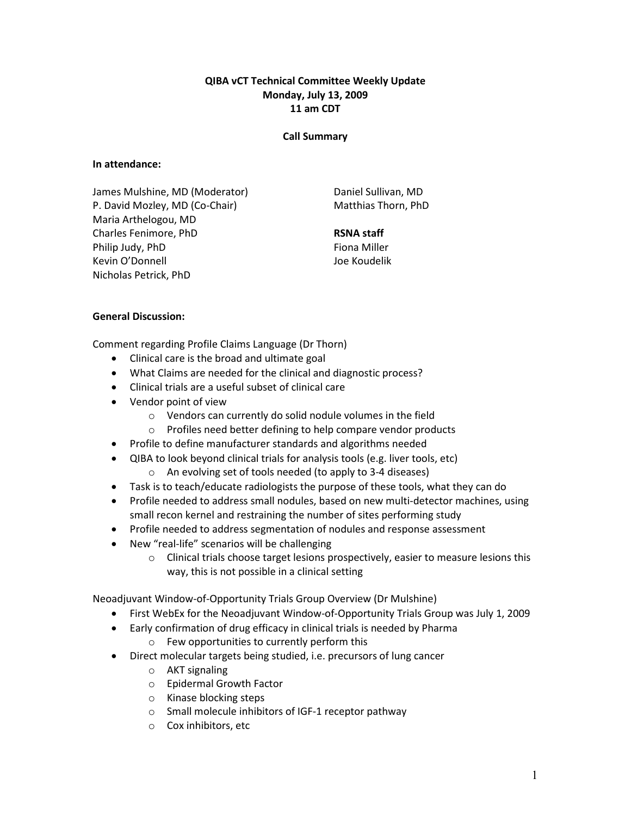# QIBA vCT Technical Committee Weekly Update Monday, July 13, 2009 11 am CDT

### Call Summary

### In attendance:

James Mulshine, MD (Moderator) P. David Mozley, MD (Co-Chair) Maria Arthelogou, MD Charles Fenimore, PhD Philip Judy, PhD Kevin O'Donnell Nicholas Petrick, PhD

Daniel Sullivan, MD Matthias Thorn, PhD

### RSNA staff

Fiona Miller Joe Koudelik

### General Discussion:

Comment regarding Profile Claims Language (Dr Thorn)

- Clinical care is the broad and ultimate goal
- What Claims are needed for the clinical and diagnostic process?
- Clinical trials are a useful subset of clinical care
- Vendor point of view
	- o Vendors can currently do solid nodule volumes in the field
	- o Profiles need better defining to help compare vendor products
- Profile to define manufacturer standards and algorithms needed
- QIBA to look beyond clinical trials for analysis tools (e.g. liver tools, etc) o An evolving set of tools needed (to apply to 3-4 diseases)
- Task is to teach/educate radiologists the purpose of these tools, what they can do
- Profile needed to address small nodules, based on new multi-detector machines, using small recon kernel and restraining the number of sites performing study
- Profile needed to address segmentation of nodules and response assessment
- New "real-life" scenarios will be challenging
	- $\circ$  Clinical trials choose target lesions prospectively, easier to measure lesions this way, this is not possible in a clinical setting

Neoadjuvant Window-of-Opportunity Trials Group Overview (Dr Mulshine)

- First WebEx for the Neoadjuvant Window-of-Opportunity Trials Group was July 1, 2009
- Early confirmation of drug efficacy in clinical trials is needed by Pharma o Few opportunities to currently perform this
- Direct molecular targets being studied, i.e. precursors of lung cancer
	- o AKT signaling
	- o Epidermal Growth Factor
	- o Kinase blocking steps
	- o Small molecule inhibitors of IGF-1 receptor pathway
	- o Cox inhibitors, etc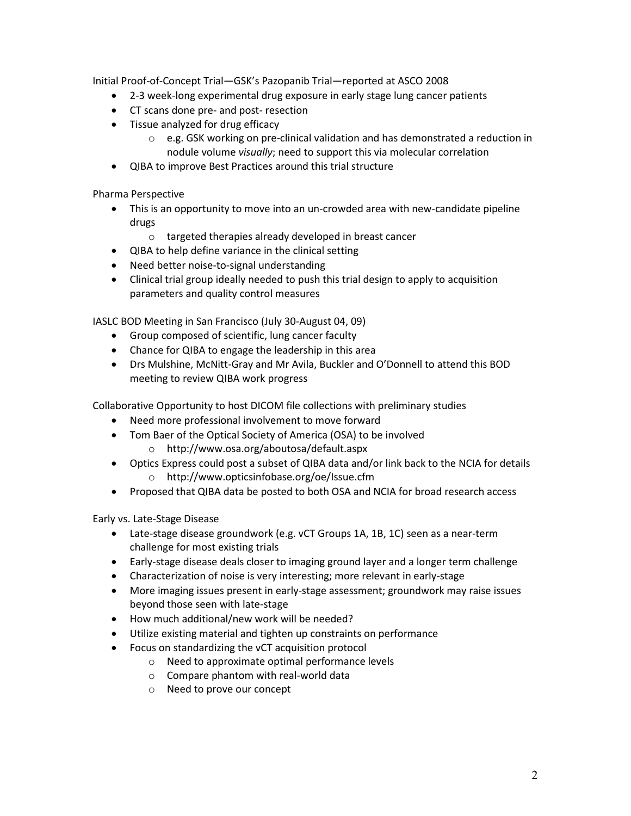Initial Proof-of-Concept Trial—GSK's Pazopanib Trial—reported at ASCO 2008

- 2-3 week-long experimental drug exposure in early stage lung cancer patients
- CT scans done pre- and post- resection
- Tissue analyzed for drug efficacy
	- $\circ$  e.g. GSK working on pre-clinical validation and has demonstrated a reduction in nodule volume visually; need to support this via molecular correlation
- QIBA to improve Best Practices around this trial structure

Pharma Perspective

- This is an opportunity to move into an un-crowded area with new-candidate pipeline drugs
	- o targeted therapies already developed in breast cancer
- QIBA to help define variance in the clinical setting
- Need better noise-to-signal understanding
- Clinical trial group ideally needed to push this trial design to apply to acquisition parameters and quality control measures

IASLC BOD Meeting in San Francisco (July 30-August 04, 09)

- Group composed of scientific, lung cancer faculty
- Chance for QIBA to engage the leadership in this area
- Drs Mulshine, McNitt-Gray and Mr Avila, Buckler and O'Donnell to attend this BOD meeting to review QIBA work progress

Collaborative Opportunity to host DICOM file collections with preliminary studies

- Need more professional involvement to move forward
- Tom Baer of the Optical Society of America (OSA) to be involved
	- o http://www.osa.org/aboutosa/default.aspx
- Optics Express could post a subset of QIBA data and/or link back to the NCIA for details o http://www.opticsinfobase.org/oe/Issue.cfm
- Proposed that QIBA data be posted to both OSA and NCIA for broad research access

Early vs. Late-Stage Disease

- Late-stage disease groundwork (e.g. vCT Groups 1A, 1B, 1C) seen as a near-term challenge for most existing trials
- Early-stage disease deals closer to imaging ground layer and a longer term challenge
- Characterization of noise is very interesting; more relevant in early-stage
- More imaging issues present in early-stage assessment; groundwork may raise issues beyond those seen with late-stage
- How much additional/new work will be needed?
- Utilize existing material and tighten up constraints on performance
- Focus on standardizing the vCT acquisition protocol
	- o Need to approximate optimal performance levels
	- o Compare phantom with real-world data
	- o Need to prove our concept